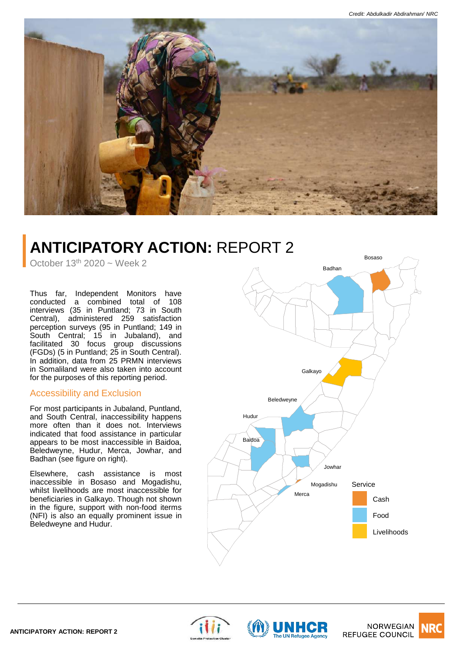

# **ANTICIPATORY ACTION:** REPORT 2

October  $13<sup>th</sup> 2020$  ~ Week 2

Thus far, Independent Monitors have conducted a combined total of 108 interviews (35 in Puntland; 73 in South Central), administered 259 satisfaction perception surveys (95 in Puntland; 149 in South Central; 15 in Jubaland), and facilitated 30 focus group discussions (FGDs) (5 in Puntland; 25 in South Central). In addition, data from 25 PRMN interviews in Somaliland were also taken into account for the purposes of this reporting period.

## Accessibility and Exclusion

For most participants in Jubaland, Puntland, and South Central, inaccessibility happens more often than it does not. Interviews indicated that food assistance in particular appears to be most inaccessible in Baidoa, Beledweyne, Hudur, Merca, Jowhar, and Badhan (see figure on right).

Elsewhere, cash assistance is most inaccessible in Bosaso and Mogadishu, whilst livelihoods are most inaccessible for beneficiaries in Galkayo. Though not shown in the figure, support with non-food iterms (NFI) is also an equally prominent issue in Beledweyne and Hudur.







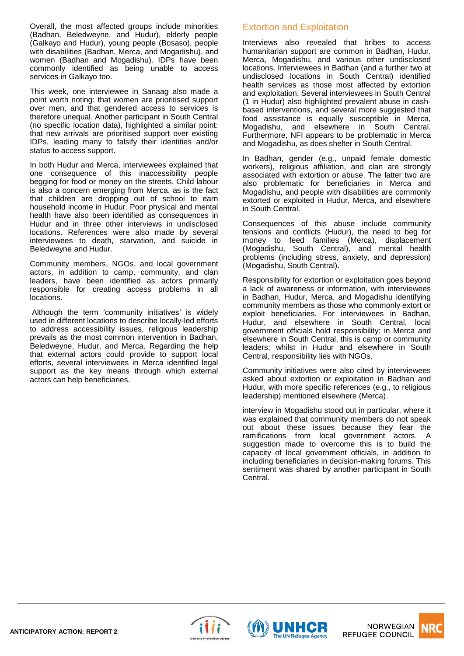Overall, the most affected groups include minorities (Badhan, Beledweyne, and Hudur), elderly people (Galkayo and Hudur), young people (Bosaso), people with disabilities (Badhan, Merca, and Mogadishu), and women (Badhan and Mogadishu). IDPs have been commonly identified as being unable to access services in Galkayo too.

This week, one interviewee in Sanaag also made a point worth noting: that women are prioritised support over men, and that gendered access to services is therefore unequal. Another participant in South Central (no specific location data), highlighted a similar point: that new arrivals are prioritised support over existing IDPs, leading many to falsify their identities and/or status to access support.

In both Hudur and Merca, interviewees explained that one consequence of this inaccessibility people begging for food or money on the streets. Child labour is also a concern emerging from Merca, as is the fact that children are dropping out of school to earn household income in Hudur. Poor physical and mental health have also been identified as consequences in Hudur and in three other interviews in undisclosed locations. References were also made by several interviewees to death, starvation, and suicide in Beledweyne and Hudur.

Community members, NGOs, and local government actors, in addition to camp, community, and clan leaders, have been identified as actors primarily responsible for creating access problems in all locations.

Although the term 'community initiatives' is widely used in different locations to describe locally-led efforts to address accessibility issues, religious leadership prevails as the most common intervention in Badhan, Beledweyne, Hudur, and Merca. Regarding the help that external actors could provide to support local efforts, several interviewees in Merca identified legal support as the key means through which external actors can help beneficiaries.

# Extortion and Exploitation

Interviews also revealed that bribes to access humanitarian support are common in Badhan, Hudur, Merca, Mogadishu, and various other undisclosed locations. Interviewees in Badhan (and a further two at undisclosed locations in South Central) identified health services as those most affected by extortion and exploitation. Several interviewees in South Central (1 in Hudur) also highlighted prevalent abuse in cashbased interventions, and several more suggested that food assistance is equally susceptible in Merca, Mogadishu, and elsewhere in South Central. Furthermore, NFI appears to be problematic in Merca and Mogadishu, as does shelter in South Central.

In Badhan, gender (e.g., unpaid female domestic workers), religious affiliation, and clan are strongly associated with extortion or abuse. The latter two are also problematic for beneficiaries in Merca and Mogadishu, and people with disabilities are commonly extorted or exploited in Hudur, Merca, and elsewhere in South Central.

Consequences of this abuse include community tensions and conflicts (Hudur), the need to beg for money to feed families (Merca), displacement (Mogadishu, South Central), and mental health problems (including stress, anxiety, and depression) (Mogadishu, South Central).

Responsibility for extortion or exploitation goes beyond a lack of awareness or information, with interviewees in Badhan, Hudur, Merca, and Mogadishu identifying community members as those who commonly extort or exploit beneficiaries. For interviewees in Badhan, Hudur, and elsewhere in South Central, local government officials hold responsibility; in Merca and elsewhere in South Central, this is camp or community leaders; whilst in Hudur and elsewhere in South Central, responsibility lies with NGOs.

Community initiatives were also cited by interviewees asked about extortion or exploitation in Badhan and Hudur, with more specific references (e.g., to religious leadership) mentioned elsewhere (Merca).

interview in Mogadishu stood out in particular, where it was explained that community members do not speak out about these issues because they fear the ramifications from local government actors. A suggestion made to overcome this is to build the capacity of local government officials, in addition to including beneficiaries in decision-making forums. This sentiment was shared by another participant in South Central.





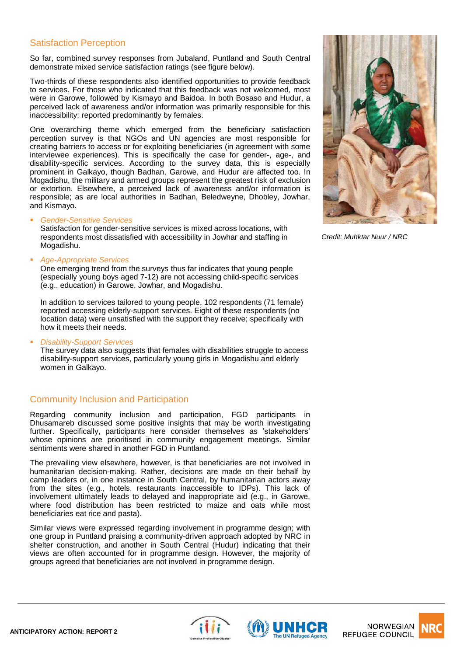#### Satisfaction Perception

So far, combined survey responses from Jubaland, Puntland and South Central demonstrate mixed service satisfaction ratings (see figure below).

Two-thirds of these respondents also identified opportunities to provide feedback to services. For those who indicated that this feedback was not welcomed, most were in Garowe, followed by Kismayo and Baidoa. In both Bosaso and Hudur, a perceived lack of awareness and/or information was primarily responsible for this inaccessibility; reported predominantly by females.

One overarching theme which emerged from the beneficiary satisfaction perception survey is that NGOs and UN agencies are most responsible for creating barriers to access or for exploiting beneficiaries (in agreement with some interviewee experiences). This is specifically the case for gender-, age-, and disability-specific services. According to the survey data, this is especially prominent in Galkayo, though Badhan, Garowe, and Hudur are affected too. In Mogadishu, the military and armed groups represent the greatest risk of exclusion or extortion. Elsewhere, a perceived lack of awareness and/or information is responsible; as are local authorities in Badhan, Beledweyne, Dhobley, Jowhar, and Kismayo.

▪ *Gender-Sensitive Services*

Satisfaction for gender-sensitive services is mixed across locations, with respondents most dissatisfied with accessibility in Jowhar and staffing in Mogadishu.

▪ *Age-Appropriate Services*

One emerging trend from the surveys thus far indicates that young people (especially young boys aged 7-12) are not accessing child-specific services (e.g., education) in Garowe, Jowhar, and Mogadishu.

In addition to services tailored to young people, 102 respondents (71 female) reported accessing elderly-support services. Eight of these respondents (no location data) were unsatisfied with the support they receive; specifically with how it meets their needs.

▪ *Disability-Support Services*

The survey data also suggests that females with disabilities struggle to access disability-support services, particularly young girls in Mogadishu and elderly women in Galkayo.

## Community Inclusion and Participation

Regarding community inclusion and participation, FGD participants in Dhusamareb discussed some positive insights that may be worth investigating further. Specifically, participants here consider themselves as 'stakeholders' whose opinions are prioritised in community engagement meetings. Similar sentiments were shared in another FGD in Puntland.

The prevailing view elsewhere, however, is that beneficiaries are not involved in humanitarian decision-making. Rather, decisions are made on their behalf by camp leaders or, in one instance in South Central, by humanitarian actors away from the sites (e.g., hotels, restaurants inaccessible to IDPs). This lack of involvement ultimately leads to delayed and inappropriate aid (e.g., in Garowe, where food distribution has been restricted to maize and oats while most beneficiaries eat rice and pasta).

Similar views were expressed regarding involvement in programme design; with one group in Puntland praising a community-driven approach adopted by NRC in shelter construction, and another in South Central (Hudur) indicating that their views are often accounted for in programme design. However, the majority of groups agreed that beneficiaries are not involved in programme design.



*Credit: Muhktar Nuur / NRC*